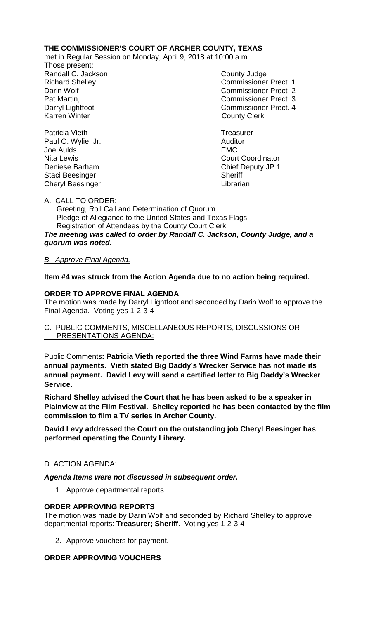# **THE COMMISSIONER'S COURT OF ARCHER COUNTY, TEXAS**

met in Regular Session on Monday, April 9, 2018 at 10:00 a.m.

Those present: Randall C. Jackson County Judge

Richard Shelley **Commissioner Prect. 1** Darin Wolf Commissioner Prect 2 Pat Martin, III Commissioner Prect. 3 Darryl Lightfoot **Commissioner Prect. 4**<br>
Karren Winter **County County Clerk County Clerk** 

Patricia Vieth **Treasurer Patricia** Vieth **Treasurer** Paul O. Wylie, Jr. **Auditor** Auditor Joe Aulds EMC Nita Lewis **Nita Lewis** Court Coordinator Deniese Barham Chief Deputy JP 1 Staci Beesinger Sheriff Cheryl Beesinger **Librarian** 

# A. CALL TO ORDER:

 Greeting, Roll Call and Determination of Quorum Pledge of Allegiance to the United States and Texas Flags Registration of Attendees by the County Court Clerk *The meeting was called to order by Randall C. Jackson, County Judge, and a quorum was noted.*

# *B. Approve Final Agenda.*

**Item #4 was struck from the Action Agenda due to no action being required.**

# **ORDER TO APPROVE FINAL AGENDA**

The motion was made by Darryl Lightfoot and seconded by Darin Wolf to approve the Final Agenda. Voting yes 1-2-3-4

### C. PUBLIC COMMENTS, MISCELLANEOUS REPORTS, DISCUSSIONS OR PRESENTATIONS AGENDA:

Public Comments**: Patricia Vieth reported the three Wind Farms have made their annual payments. Vieth stated Big Daddy's Wrecker Service has not made its annual payment. David Levy will send a certified letter to Big Daddy's Wrecker Service.**

**Richard Shelley advised the Court that he has been asked to be a speaker in Plainview at the Film Festival. Shelley reported he has been contacted by the film commission to film a TV series in Archer County.**

**David Levy addressed the Court on the outstanding job Cheryl Beesinger has performed operating the County Library.**

## D. ACTION AGENDA:

*Agenda Items were not discussed in subsequent order.*

1. Approve departmental reports.

## **ORDER APPROVING REPORTS**

The motion was made by Darin Wolf and seconded by Richard Shelley to approve departmental reports: **Treasurer; Sheriff**. Voting yes 1-2-3-4

2. Approve vouchers for payment.

# **ORDER APPROVING VOUCHERS**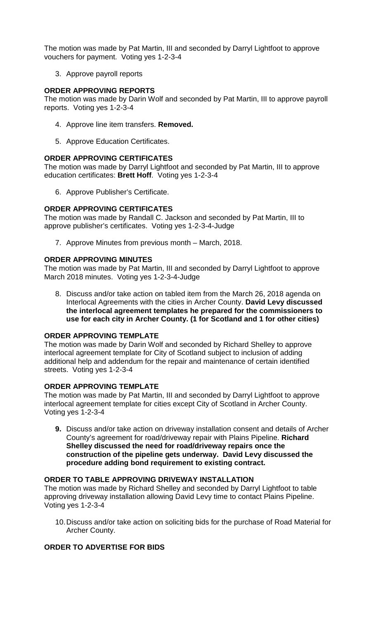The motion was made by Pat Martin, III and seconded by Darryl Lightfoot to approve vouchers for payment. Voting yes 1-2-3-4

3. Approve payroll reports

### **ORDER APPROVING REPORTS**

The motion was made by Darin Wolf and seconded by Pat Martin, III to approve payroll reports. Voting yes 1-2-3-4

- 4. Approve line item transfers. **Removed.**
- 5. Approve Education Certificates.

### **ORDER APPROVING CERTIFICATES**

The motion was made by Darryl Lightfoot and seconded by Pat Martin, III to approve education certificates: **Brett Hoff**. Voting yes 1-2-3-4

6. Approve Publisher's Certificate.

### **ORDER APPROVING CERTIFICATES**

The motion was made by Randall C. Jackson and seconded by Pat Martin, III to approve publisher's certificates. Voting yes 1-2-3-4-Judge

7. Approve Minutes from previous month – March, 2018.

### **ORDER APPROVING MINUTES**

The motion was made by Pat Martin, III and seconded by Darryl Lightfoot to approve March 2018 minutes. Voting yes 1-2-3-4-Judge

8. Discuss and/or take action on tabled item from the March 26, 2018 agenda on Interlocal Agreements with the cities in Archer County. **David Levy discussed the interlocal agreement templates he prepared for the commissioners to use for each city in Archer County. (1 for Scotland and 1 for other cities)**

#### **ORDER APPROVING TEMPLATE**

The motion was made by Darin Wolf and seconded by Richard Shelley to approve interlocal agreement template for City of Scotland subject to inclusion of adding additional help and addendum for the repair and maintenance of certain identified streets. Voting yes 1-2-3-4

#### **ORDER APPROVING TEMPLATE**

The motion was made by Pat Martin, III and seconded by Darryl Lightfoot to approve interlocal agreement template for cities except City of Scotland in Archer County. Voting yes 1-2-3-4

**9.** Discuss and/or take action on driveway installation consent and details of Archer County's agreement for road/driveway repair with Plains Pipeline. **Richard Shelley discussed the need for road/driveway repairs once the construction of the pipeline gets underway. David Levy discussed the procedure adding bond requirement to existing contract.** 

#### **ORDER TO TABLE APPROVING DRIVEWAY INSTALLATION**

The motion was made by Richard Shelley and seconded by Darryl Lightfoot to table approving driveway installation allowing David Levy time to contact Plains Pipeline. Voting yes 1-2-3-4

10.Discuss and/or take action on soliciting bids for the purchase of Road Material for Archer County.

## **ORDER TO ADVERTISE FOR BIDS**